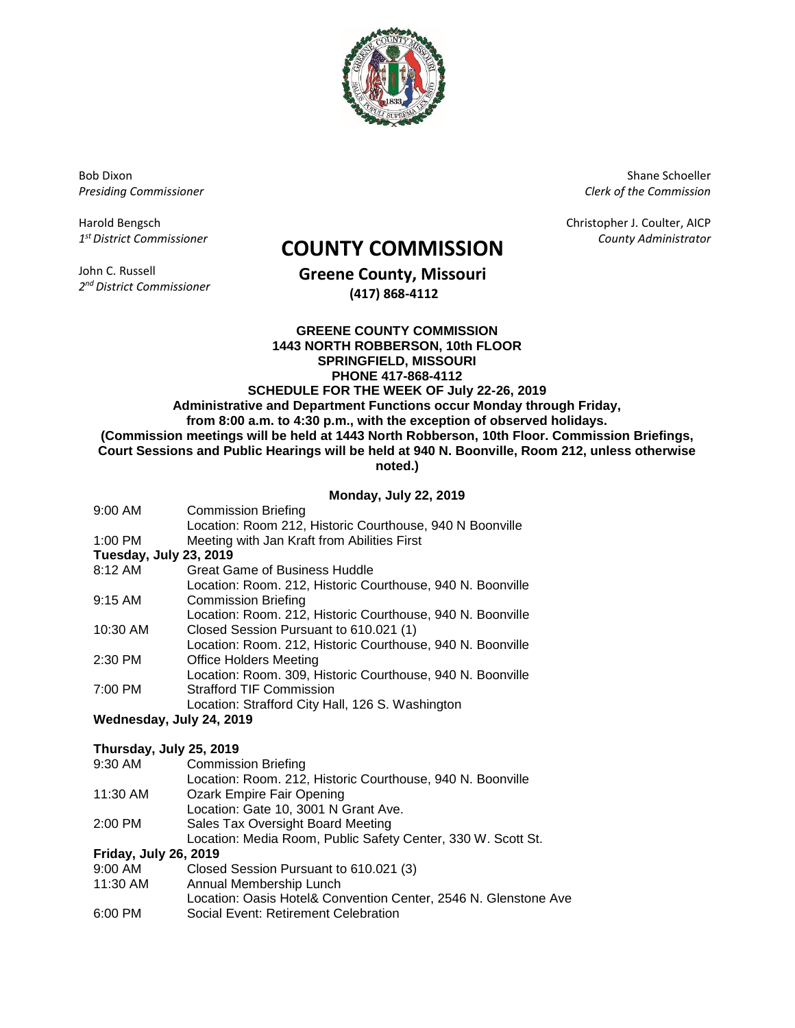

Bob Dixon *Presiding Commissioner*

Harold Bengsch *1 st District Commissioner*

John C. Russell *2 nd District Commissioner*

# *County Administrator* **COUNTY COMMISSION**

**Greene County, Missouri (417) 868-4112**

## **GREENE COUNTY COMMISSION 1443 NORTH ROBBERSON, 10th FLOOR SPRINGFIELD, MISSOURI PHONE 417-868-4112 SCHEDULE FOR THE WEEK OF July 22-26, 2019**

**Administrative and Department Functions occur Monday through Friday, from 8:00 a.m. to 4:30 p.m., with the exception of observed holidays. (Commission meetings will be held at 1443 North Robberson, 10th Floor. Commission Briefings, Court Sessions and Public Hearings will be held at 940 N. Boonville, Room 212, unless otherwise** 

**noted.)**

## **Monday, July 22, 2019**

| $9:00$ AM              | <b>Commission Briefing</b>                                 |  |
|------------------------|------------------------------------------------------------|--|
|                        | Location: Room 212, Historic Courthouse, 940 N Boonville   |  |
| 1:00 PM                | Meeting with Jan Kraft from Abilities First                |  |
| Tuesday, July 23, 2019 |                                                            |  |
| 8:12 AM                | Great Game of Business Huddle                              |  |
|                        | Location: Room. 212, Historic Courthouse, 940 N. Boonville |  |
| $9:15$ AM              | <b>Commission Briefing</b>                                 |  |
|                        | Location: Room. 212, Historic Courthouse, 940 N. Boonville |  |
| 10:30 AM               | Closed Session Pursuant to 610.021 (1)                     |  |
|                        | Location: Room. 212, Historic Courthouse, 940 N. Boonville |  |
| 2:30 PM                | <b>Office Holders Meeting</b>                              |  |
|                        | Location: Room. 309, Historic Courthouse, 940 N. Boonville |  |
| 7:00 PM                | <b>Strafford TIF Commission</b>                            |  |
|                        | Location: Strafford City Hall, 126 S. Washington           |  |

## **Wednesday, July 24, 2019**

## **Thursday, July 25, 2019**

| 9:30 AM                      | <b>Commission Briefing</b>                                      |
|------------------------------|-----------------------------------------------------------------|
|                              | Location: Room. 212, Historic Courthouse, 940 N. Boonville      |
| 11:30 AM                     | Ozark Empire Fair Opening                                       |
|                              | Location: Gate 10, 3001 N Grant Ave.                            |
| 2:00 PM                      | Sales Tax Oversight Board Meeting                               |
|                              | Location: Media Room, Public Safety Center, 330 W. Scott St.    |
| <b>Friday, July 26, 2019</b> |                                                                 |
| $9:00$ AM                    | Closed Session Pursuant to 610.021 (3)                          |
| 11:30 AM                     | Annual Membership Lunch                                         |
|                              | Location: Oasis Hotel& Convention Center, 2546 N. Glenstone Ave |
| 6:00 PM                      | Social Event: Retirement Celebration                            |

Shane Schoeller *Clerk of the Commission*

Christopher J. Coulter, AICP